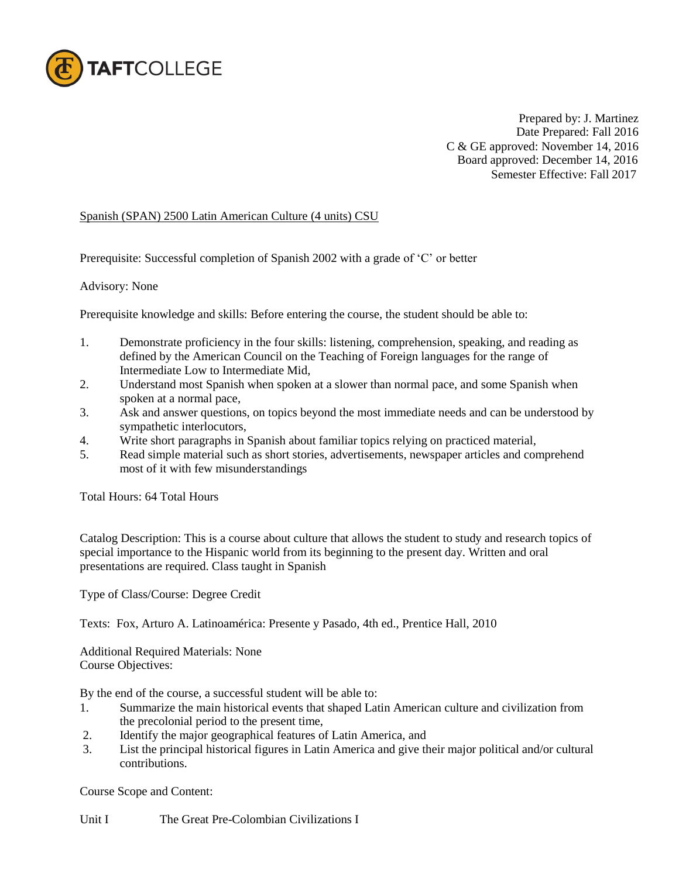

Prepared by: J. Martinez Date Prepared: Fall 2016 C & GE approved: November 14, 2016 Board approved: December 14, 2016 Semester Effective: Fall 2017

## Spanish (SPAN) 2500 Latin American Culture (4 units) CSU

Prerequisite: Successful completion of Spanish 2002 with a grade of 'C' or better

## Advisory: None

Prerequisite knowledge and skills: Before entering the course, the student should be able to:

- 1. Demonstrate proficiency in the four skills: listening, comprehension, speaking, and reading as defined by the American Council on the Teaching of Foreign languages for the range of Intermediate Low to Intermediate Mid,
- 2. Understand most Spanish when spoken at a slower than normal pace, and some Spanish when spoken at a normal pace,
- 3. Ask and answer questions, on topics beyond the most immediate needs and can be understood by sympathetic interlocutors,
- 4. Write short paragraphs in Spanish about familiar topics relying on practiced material,
- 5. Read simple material such as short stories, advertisements, newspaper articles and comprehend most of it with few misunderstandings

Total Hours: 64 Total Hours

Catalog Description: This is a course about culture that allows the student to study and research topics of special importance to the Hispanic world from its beginning to the present day. Written and oral presentations are required. Class taught in Spanish

Type of Class/Course: Degree Credit

Texts: Fox, Arturo A. Latinoamérica: Presente y Pasado, 4th ed., Prentice Hall, 2010

Additional Required Materials: None Course Objectives:

By the end of the course, a successful student will be able to:

- 1. Summarize the main historical events that shaped Latin American culture and civilization from the precolonial period to the present time,
- 2. Identify the major geographical features of Latin America, and
- 3. List the principal historical figures in Latin America and give their major political and/or cultural contributions.

Course Scope and Content:

Unit I The Great Pre-Colombian Civilizations I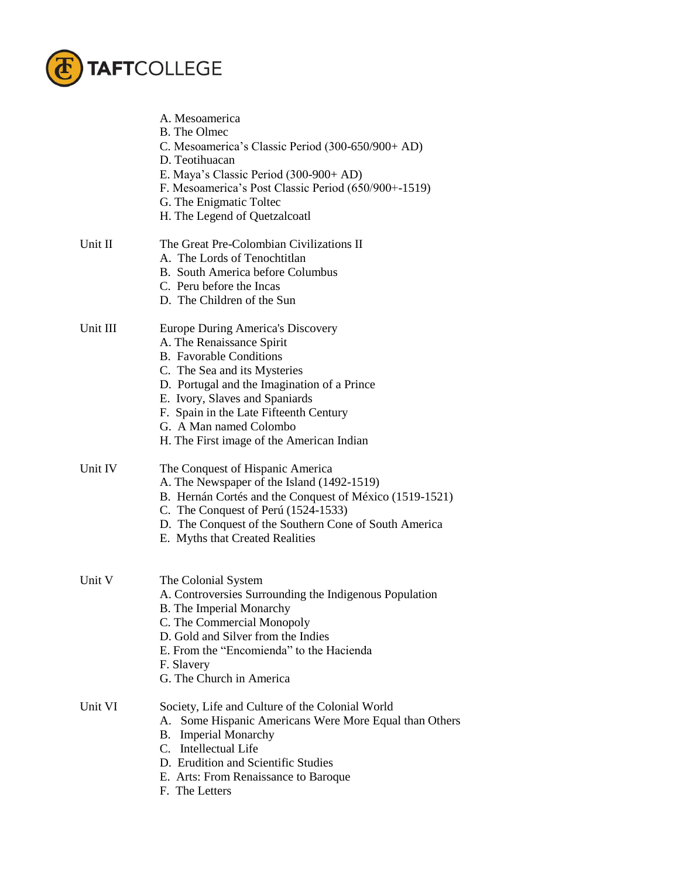

|          | A. Mesoamerica<br><b>B.</b> The Olmec<br>C. Mesoamerica's Classic Period (300-650/900+ AD)<br>D. Teotihuacan<br>E. Maya's Classic Period (300-900+ AD)<br>F. Mesoamerica's Post Classic Period (650/900+-1519)<br>G. The Enigmatic Toltec<br>H. The Legend of Quetzalcoatl                                                         |  |
|----------|------------------------------------------------------------------------------------------------------------------------------------------------------------------------------------------------------------------------------------------------------------------------------------------------------------------------------------|--|
| Unit II  | The Great Pre-Colombian Civilizations II<br>A. The Lords of Tenochtitlan<br>B. South America before Columbus<br>C. Peru before the Incas<br>D. The Children of the Sun                                                                                                                                                             |  |
| Unit III | Europe During America's Discovery<br>A. The Renaissance Spirit<br><b>B.</b> Favorable Conditions<br>C. The Sea and its Mysteries<br>D. Portugal and the Imagination of a Prince<br>E. Ivory, Slaves and Spaniards<br>F. Spain in the Late Fifteenth Century<br>G. A Man named Colombo<br>H. The First image of the American Indian |  |
| Unit IV  | The Conquest of Hispanic America<br>A. The Newspaper of the Island (1492-1519)<br>B. Hernán Cortés and the Conquest of México (1519-1521)<br>C. The Conquest of Perú (1524-1533)<br>D. The Conquest of the Southern Cone of South America<br>E. Myths that Created Realities                                                       |  |
| Unit V   | The Colonial System<br>A. Controversies Surrounding the Indigenous Population<br><b>B.</b> The Imperial Monarchy<br>C. The Commercial Monopoly<br>D. Gold and Silver from the Indies<br>E. From the "Encomienda" to the Hacienda<br>F. Slavery<br>G. The Church in America                                                         |  |
| Unit VI  | Society, Life and Culture of the Colonial World<br>A. Some Hispanic Americans Were More Equal than Others<br><b>Imperial Monarchy</b><br>B.<br>C. Intellectual Life<br>D. Erudition and Scientific Studies<br>E. Arts: From Renaissance to Baroque<br>F. The Letters                                                               |  |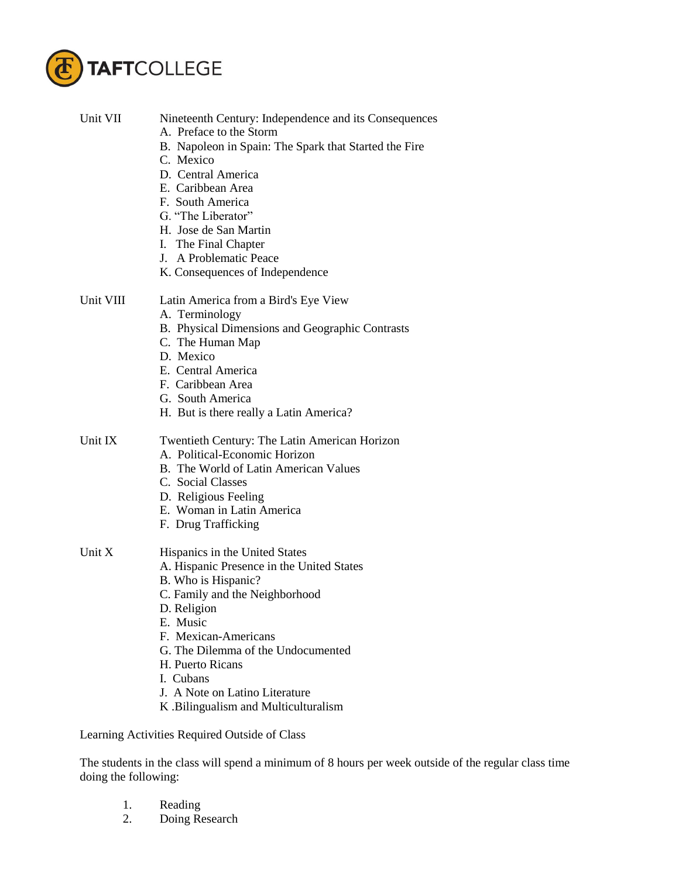

| Unit VII  | Nineteenth Century: Independence and its Consequences |
|-----------|-------------------------------------------------------|
|           | A. Preface to the Storm                               |
|           | B. Napoleon in Spain: The Spark that Started the Fire |
|           | C. Mexico                                             |
|           | D. Central America                                    |
|           | E. Caribbean Area                                     |
|           | F. South America                                      |
|           | G. "The Liberator"                                    |
|           | H. Jose de San Martin                                 |
|           | I. The Final Chapter                                  |
|           | J. A Problematic Peace                                |
|           | K. Consequences of Independence                       |
| Unit VIII | Latin America from a Bird's Eye View                  |
|           | A. Terminology                                        |
|           | B. Physical Dimensions and Geographic Contrasts       |
|           | C. The Human Map                                      |
|           | D. Mexico                                             |
|           | E. Central America                                    |
|           | F. Caribbean Area                                     |
|           | G. South America                                      |
|           | H. But is there really a Latin America?               |
| Unit IX   | Twentieth Century: The Latin American Horizon         |
|           | A. Political-Economic Horizon                         |
|           | B. The World of Latin American Values                 |
|           | C. Social Classes                                     |
|           | D. Religious Feeling                                  |
|           | E. Woman in Latin America                             |
|           | F. Drug Trafficking                                   |
|           |                                                       |
| Unit X    | Hispanics in the United States                        |
|           | A. Hispanic Presence in the United States             |
|           | B. Who is Hispanic?                                   |
|           | C. Family and the Neighborhood                        |
|           | D. Religion                                           |
|           | E. Music<br>F. Mexican-Americans                      |
|           | G. The Dilemma of the Undocumented                    |
|           | H. Puerto Ricans                                      |
|           | I. Cubans                                             |
|           | J. A Note on Latino Literature                        |
|           | K. Bilingualism and Multiculturalism                  |
|           |                                                       |
|           | Learning Activities Required Outside of Class         |

The students in the class will spend a minimum of 8 hours per week outside of the regular class time doing the following:

- 1. Reading
- 2. Doing Research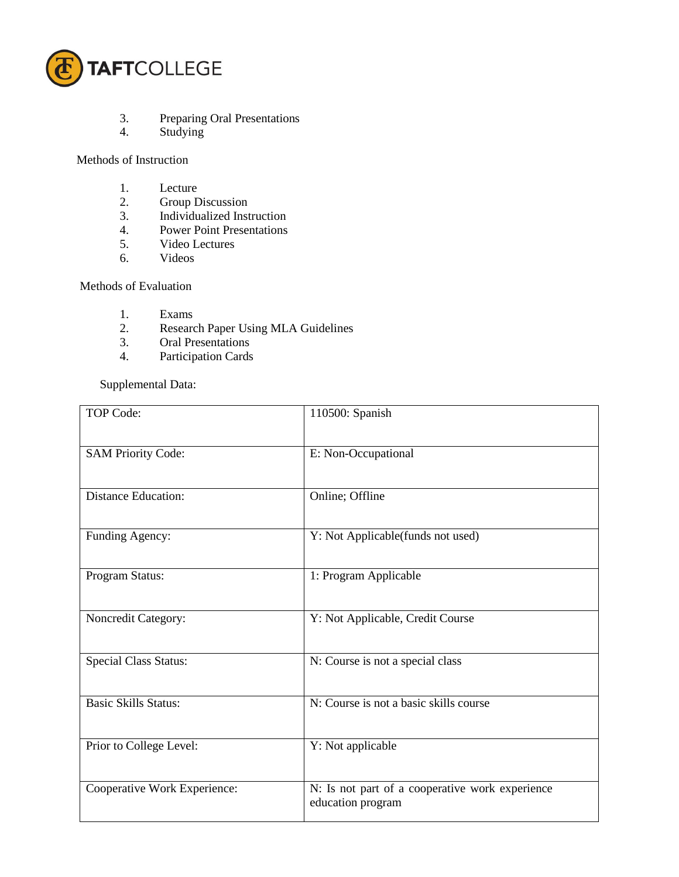

- 3. Preparing Oral Presentations
- 4. Studying

## Methods of Instruction

- 1. Lecture<br>2. Group D
- 2. Group Discussion<br>3. Individualized Inst
- 3. Individualized Instruction<br>4. Power Point Presentations
- Power Point Presentations
- 5. Video Lectures
- 6. Videos

## Methods of Evaluation

- 1. Exams
- 2. Research Paper Using MLA Guidelines<br>3. Oral Presentations
- Oral Presentations
- 4. Participation Cards

Supplemental Data:

| <b>TOP Code:</b>             | 110500: Spanish                                                      |
|------------------------------|----------------------------------------------------------------------|
| <b>SAM Priority Code:</b>    | E: Non-Occupational                                                  |
| <b>Distance Education:</b>   | Online; Offline                                                      |
| Funding Agency:              | Y: Not Applicable(funds not used)                                    |
| Program Status:              | 1: Program Applicable                                                |
| Noncredit Category:          | Y: Not Applicable, Credit Course                                     |
| <b>Special Class Status:</b> | N: Course is not a special class                                     |
| <b>Basic Skills Status:</b>  | N: Course is not a basic skills course                               |
| Prior to College Level:      | Y: Not applicable                                                    |
| Cooperative Work Experience: | N: Is not part of a cooperative work experience<br>education program |